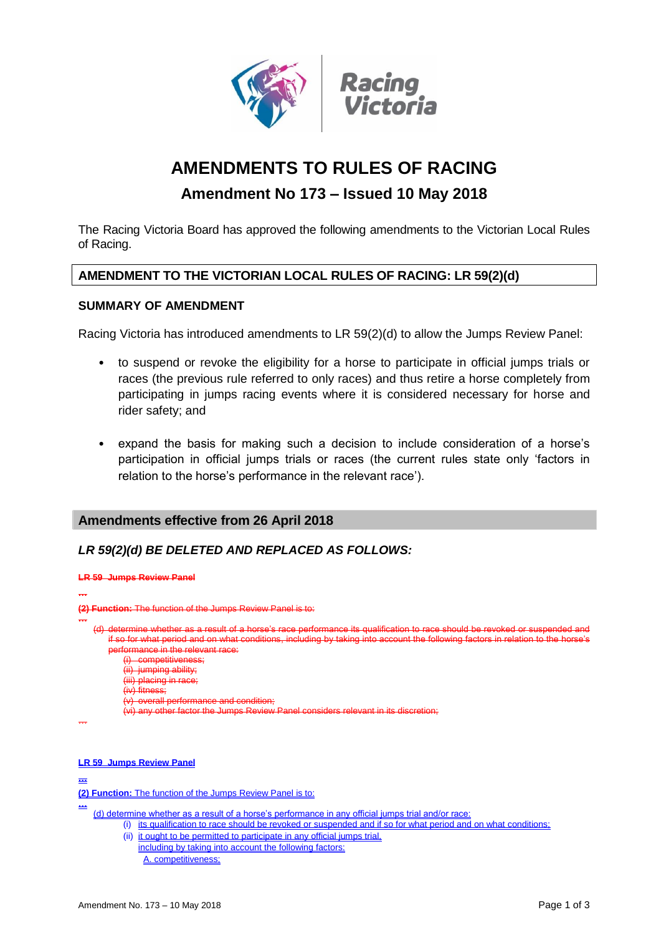

# **AMENDMENTS TO RULES OF RACING**

## **Amendment No 173 – Issued 10 May 2018**

The Racing Victoria Board has approved the following amendments to the Victorian Local Rules of Racing.

## **AMENDMENT TO THE VICTORIAN LOCAL RULES OF RACING: LR 59(2)(d)**

#### **SUMMARY OF AMENDMENT**

Racing Victoria has introduced amendments to LR 59(2)(d) to allow the Jumps Review Panel:

- to suspend or revoke the eligibility for a horse to participate in official jumps trials or races (the previous rule referred to only races) and thus retire a horse completely from participating in jumps racing events where it is considered necessary for horse and rider safety; and
- expand the basis for making such a decision to include consideration of a horse's participation in official jumps trials or races (the current rules state only 'factors in relation to the horse's performance in the relevant race').

## **Amendments effective from 26 April 2018**

## *LR 59(2)(d) BE DELETED AND REPLACED AS FOLLOWS:*



(d) determine whether as a result of a horse's performance in any official jumps trial and/or race:

- (i) its qualification to race should be revoked or suspended and if so for what period and on what conditions;
	- (ii) it ought to be permitted to participate in any official jumps trial, including by taking into account the following factors: A. competitiveness;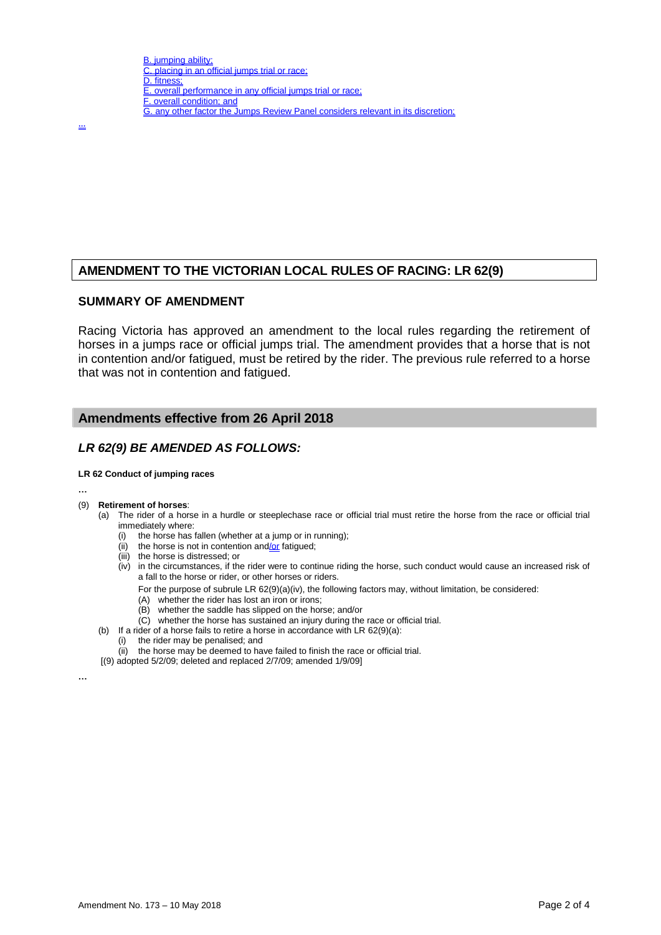…

## **AMENDMENT TO THE VICTORIAN LOCAL RULES OF RACING: LR 62(9)**

#### **SUMMARY OF AMENDMENT**

Racing Victoria has approved an amendment to the local rules regarding the retirement of horses in a jumps race or official jumps trial. The amendment provides that a horse that is not in contention and/or fatigued, must be retired by the rider. The previous rule referred to a horse that was not in contention and fatigued.

#### **Amendments effective from 26 April 2018**

#### *LR 62(9) BE AMENDED AS FOLLOWS:*

#### **LR 62 Conduct of jumping races**

**…**

#### (9) **Retirement of horses**:

- (a) The rider of a horse in a hurdle or steeplechase race or official trial must retire the horse from the race or official trial immediately where:
	- (i) the horse has fallen (whether at a jump or in running);
	- (ii) the horse is not in contention and/or fatigued;
	- (iii) the horse is distressed; or
	- (iv) in the circumstances, if the rider were to continue riding the horse, such conduct would cause an increased risk of a fall to the horse or rider, or other horses or riders.
		- For the purpose of subrule LR 62(9)(a)(iv), the following factors may, without limitation, be considered:
		- (A) whether the rider has lost an iron or irons;
		- (B) whether the saddle has slipped on the horse; and/or
		- (C) whether the horse has sustained an injury during the race or official trial.
- (b) If a rider of a horse fails to retire a horse in accordance with LR 62(9)(a):
	- (i) the rider may be penalised; and
	- (ii) the horse may be deemed to have failed to finish the race or official trial.
- [(9) adopted 5/2/09; deleted and replaced 2/7/09; amended 1/9/09]

**…**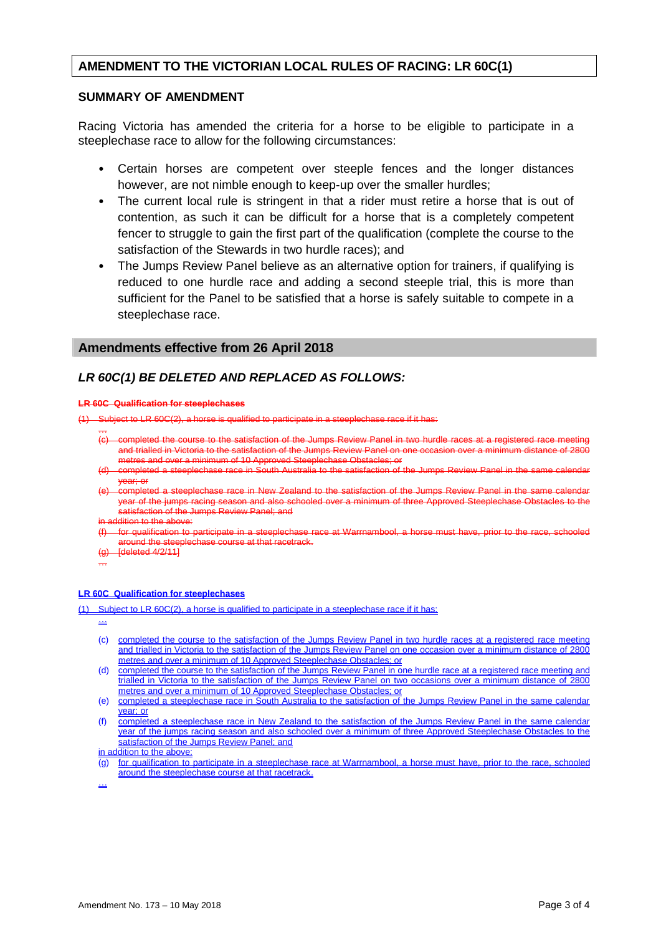#### **AMENDMENT TO THE VICTORIAN LOCAL RULES OF RACING: LR 60C(1)**

#### **SUMMARY OF AMENDMENT**

Racing Victoria has amended the criteria for a horse to be eligible to participate in a steeplechase race to allow for the following circumstances:

- Certain horses are competent over steeple fences and the longer distances however, are not nimble enough to keep-up over the smaller hurdles;
- The current local rule is stringent in that a rider must retire a horse that is out of contention, as such it can be difficult for a horse that is a completely competent fencer to struggle to gain the first part of the qualification (complete the course to the satisfaction of the Stewards in two hurdle races); and
- The Jumps Review Panel believe as an alternative option for trainers, if qualifying is reduced to one hurdle race and adding a second steeple trial, this is more than sufficient for the Panel to be satisfied that a horse is safely suitable to compete in a steeplechase race.

#### **Amendments effective from 26 April 2018**

## *LR 60C(1) BE DELETED AND REPLACED AS FOLLOWS:*

#### **LR 60C Qualification for steeplechases**

Subject to LR 60C(2), a horse is qualified to participate in a steeplechase race if it has:

- … to the satisfaction of the Jumps Review Panel and trialled in Victoria to the satisfaction of the Jumps Review Panel on metres and over a minimum of 10 Approved Steeplechase Obstacles; or
- ompleted a steeplechase race in South Australia to the satisfaction of the Jumps Review Panel in the same year; or
- .<br>completed a steeplechase race in New Zealand to the satisfaction of the Jumps Review Panel in the same calendar year of the jumps racing season and also schooled over a minimum of three Approved Steeplechase Obstacles to the satisfaction of the Jumps Review Panel; and
- Idition to the above:
- (f) for qualification to participate in a steeplechase race at Warrnambool, a horse must have, prior to the race, schooled around the steeplechase course at that racetrack.
- deleted 4/2/11]

…

#### **LR 60C Qualification for steeplechases**

(1) Subject to LR 60C(2), a horse is qualified to participate in a steeplechase race if it has:

…

- (c) completed the course to the satisfaction of the Jumps Review Panel in two hurdle races at a registered race meeting and trialled in Victoria to the satisfaction of the Jumps Review Panel on one occasion over a minimum distance of 2800 metres and over a minimum of 10 Approved Steeplechase Obstacles; or
- (d) completed the course to the satisfaction of the Jumps Review Panel in one hurdle race at a registered race meeting and trialled in Victoria to the satisfaction of the Jumps Review Panel on two occasions over a minimum distance of 2800 metres and over a minimum of 10 Approved Steeplechase Obstacles; or
- (e) completed a steeplechase race in South Australia to the satisfaction of the Jumps Review Panel in the same calendar year; or
- (f) completed a steeplechase race in New Zealand to the satisfaction of the Jumps Review Panel in the same calendar year of the jumps racing season and also schooled over a minimum of three Approved Steeplechase Obstacles to the satisfaction of the Jumps Review Panel; and

in addition to the above

(g) for qualification to participate in a steeplechase race at Warrnambool, a horse must have, prior to the race, schooled around the steeplechase course at that racetrack.

…